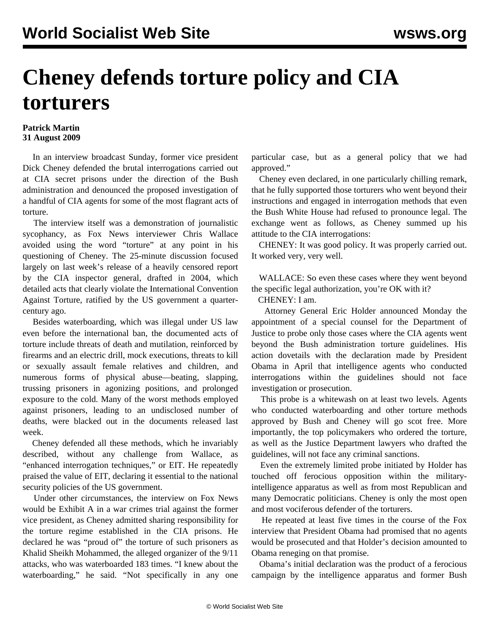## **Cheney defends torture policy and CIA torturers**

## **Patrick Martin 31 August 2009**

 In an interview broadcast Sunday, former vice president Dick Cheney defended the brutal interrogations carried out at CIA secret prisons under the direction of the Bush administration and denounced the proposed investigation of a handful of CIA agents for some of the most flagrant acts of torture.

 The interview itself was a demonstration of journalistic sycophancy, as Fox News interviewer Chris Wallace avoided using the word "torture" at any point in his questioning of Cheney. The 25-minute discussion focused largely on last week's release of a heavily censored report by the CIA inspector general, drafted in 2004, which detailed acts that clearly violate the International Convention Against Torture, ratified by the US government a quartercentury ago.

 Besides waterboarding, which was illegal under US law even before the international ban, the documented acts of torture include threats of death and mutilation, reinforced by firearms and an electric drill, mock executions, threats to kill or sexually assault female relatives and children, and numerous forms of physical abuse—beating, slapping, trussing prisoners in agonizing positions, and prolonged exposure to the cold. Many of the worst methods employed against prisoners, leading to an undisclosed number of deaths, were blacked out in the documents released last week.

 Cheney defended all these methods, which he invariably described, without any challenge from Wallace, as "enhanced interrogation techniques," or EIT. He repeatedly praised the value of EIT, declaring it essential to the national security policies of the US government.

 Under other circumstances, the interview on Fox News would be Exhibit A in a war crimes trial against the former vice president, as Cheney admitted sharing responsibility for the torture regime established in the CIA prisons. He declared he was "proud of" the torture of such prisoners as Khalid Sheikh Mohammed, the alleged organizer of the 9/11 attacks, who was waterboarded 183 times. "I knew about the waterboarding," he said. "Not specifically in any one particular case, but as a general policy that we had approved."

 Cheney even declared, in one particularly chilling remark, that he fully supported those torturers who went beyond their instructions and engaged in interrogation methods that even the Bush White House had refused to pronounce legal. The exchange went as follows, as Cheney summed up his attitude to the CIA interrogations:

 CHENEY: It was good policy. It was properly carried out. It worked very, very well.

 WALLACE: So even these cases where they went beyond the specific legal authorization, you're OK with it?

CHENEY: I am.

 Attorney General Eric Holder announced Monday the appointment of a special counsel for the Department of Justice to probe only those cases where the CIA agents went beyond the Bush administration torture guidelines. His action dovetails with the declaration made by President Obama in April that intelligence agents who conducted interrogations within the guidelines should not face investigation or prosecution.

 This probe is a whitewash on at least two levels. Agents who conducted waterboarding and other torture methods approved by Bush and Cheney will go scot free. More importantly, the top policymakers who ordered the torture, as well as the Justice Department lawyers who drafted the guidelines, will not face any criminal sanctions.

 Even the extremely limited probe initiated by Holder has touched off ferocious opposition within the militaryintelligence apparatus as well as from most Republican and many Democratic politicians. Cheney is only the most open and most vociferous defender of the torturers.

 He repeated at least five times in the course of the Fox interview that President Obama had promised that no agents would be prosecuted and that Holder's decision amounted to Obama reneging on that promise.

 Obama's initial declaration was the product of a ferocious campaign by the intelligence apparatus and former Bush